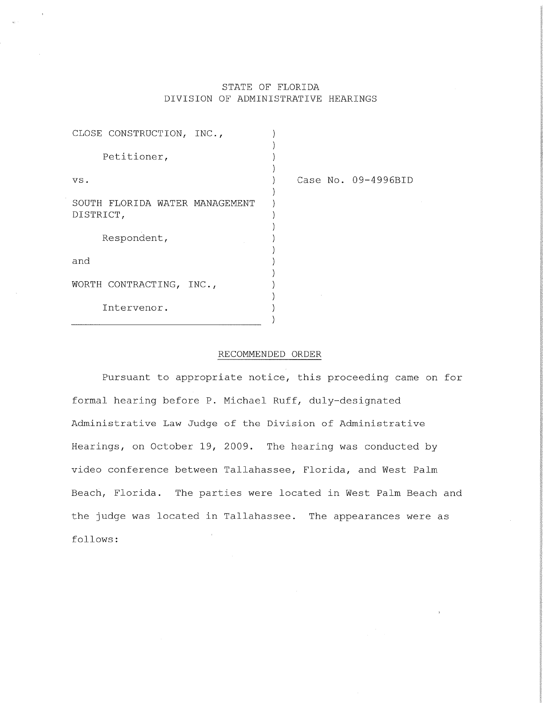# STATE OF FLORIDA DIVISION OF ADMINISTRATIVE HEARINGS

| CLOSE CONSTRUCTION, INC.,                   |                     |
|---------------------------------------------|---------------------|
| Petitioner,                                 |                     |
| VS.                                         | Case No. 09-4996BID |
| SOUTH FLORIDA WATER MANAGEMENT<br>DISTRICT, |                     |
| Respondent,                                 |                     |
| and                                         |                     |
| WORTH CONTRACTING, INC.,                    |                     |
| Intervenor.                                 |                     |

# RECOMMENDED ORDER

Pursuant to appropriate notice, this proceeding came on for formal hearing before P. Michael Ruff, duly-designated Administrative Law Judge of the Division of Administrative Hearings, on October 19, 2009. The hearing was conducted by video conference between Tallahassee, Florida, and West Palm Beach, Florida. The parties were located in West Palm Beach and the judge was located in Tallahassee. The appearances were as follows: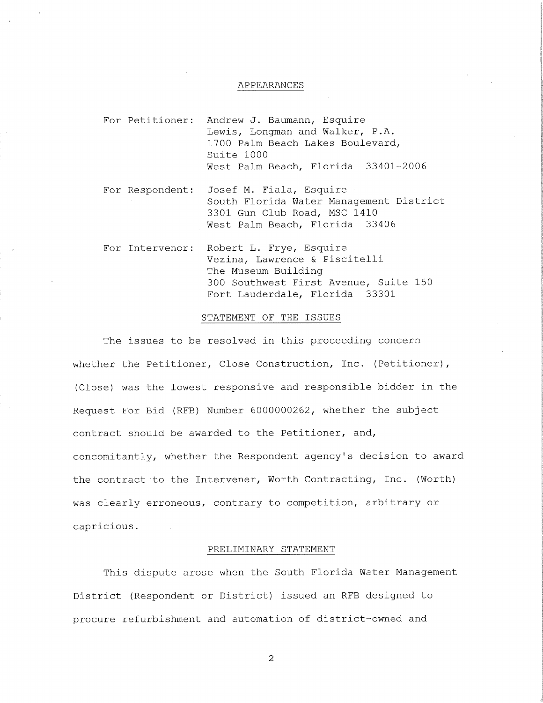#### APPEARANCES

- For Petitioner: Andrew J. Baumann, Esquire Andrew J. Baumann, Esquire<br>Lewis, Longman and Walker, P.A.<br>1700 Palm Beach Lakes Boulevard, 1700 Palm Beach Lakes Boulevard,<br>Suite 1000 West Palm Beach, Florida 33401-2006
- For Respondent: Josef M. Fiala, Esquire Josef M. Fıala, Esquire<br>South Florida Water Management District<br>3301 Gun Club Road, MSC 1410 3301 Gun Club Road, MSC 1410<br>West Palm Beach, Florida 33406
- For Intervenor: Robert L. Frye, Esquire Robert L. Frye, Esquire<br>Vezina, Lawrence & Piscitelli nosore i: rijo, iog<br>Vezina, Lawrence &<br>The Museum Building The Museum Building<br>300 Southwest First Avenue, Suite 150 Fort Lauderdale, Florida 33301

### STATEMENT OF THE ISSUES

The issues to be resolved in this proceeding concern whether the Petitioner, Close Construction, Inc. (Petitioner), (Close) was the lowest responsive and responsible bidder in the Request For Bid (RFB) Number 6000000262, whether the subject contract should be awarded to the Petitioner, and, concomitantly, whether the Respondent agency's decision to award the contract to the Intervener, Worth Contracting, Inc. (Worth) was clearly erroneous, contrary to competition, arbitrary or capricious.

#### PRELIMINARY STATEMENT

This dispute arose when the South Florida Water Management District (Respondent or District) issued an RFB designed to procure refurbishment and automation of district-owned and

 $\overline{a}$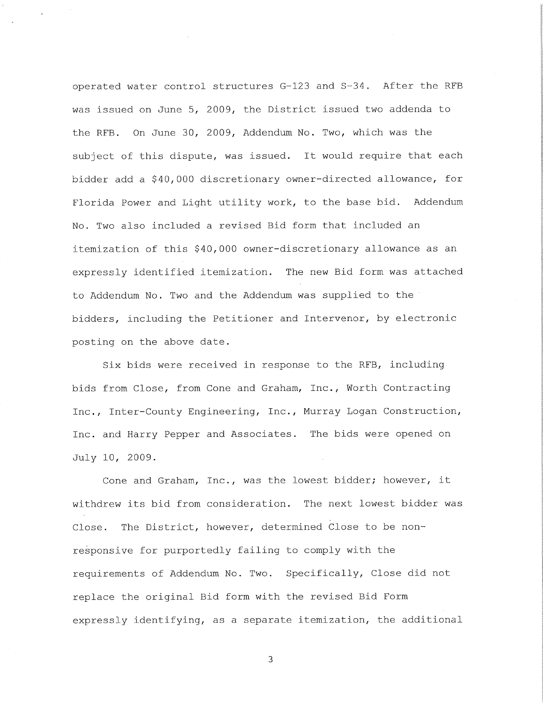operated water control structures G-123 and S-34. After the RFB was issued on June 5, 2009, the District issued two addenda to the RFB. On June 30, 2009, Addendum No. Two, which was the subject of this dispute, was issued. It would require that each bidder add a \$40,000 discretionary owner-directed allowance, for Florida Power and Light utility work, to the base bid. Addendum No. Two also included a revised Bid form that included an itemization of this \$40,000 owner-discretionary allowance as an expressly identified itemization. The new Bid form was attached to Addendum No. Two and the Addendum was supplied to the bidders, including the Petitioner and Intervenor, by electronic posting on the above date.

Six bids were received in response to the RFB, including bids from Close, from Cone and Graham, Inc., Worth Contracting Inc., Inter-County Engineering, Inc., Murray Logan Construction, Inc. and Harry Pepper and Associates. The bids were opened on July 10, 2009. .

Cone and Graham, Inc., was the lowest bidder; however, it withdrew its bid from consideration. The next lowest bidder was Close. The District, however, determined Close to be nonresponsive for purportedly failing to comply with the requirements of Addendum No. Two. Specifically, Close did not replace the original Bid form with the revised Bid Form expressly identifying, as a separate itemization, the additional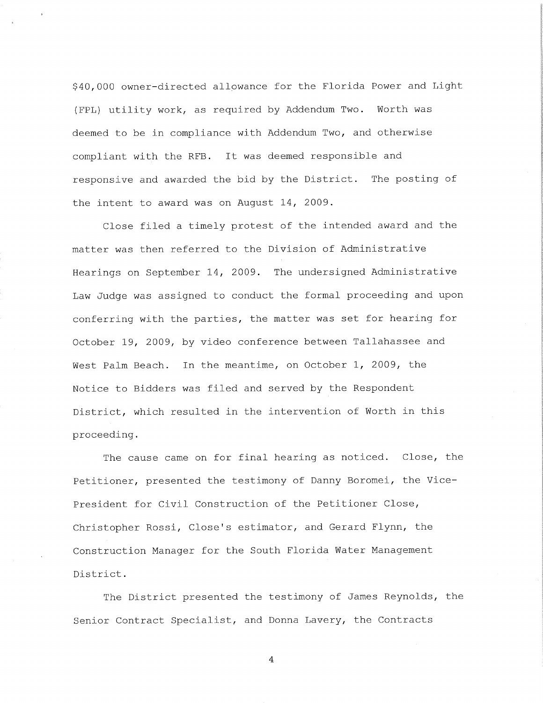\$40,000 owner-directed allowance for the Florida Power and Light (FPL) utility work, as required by Addendum Two. Worth was deemed to be in compliance with Addendum Two, and otherwise compliant with the RFB. It was deemed responsible and responsive and awarded the bid by the District. The posting of the intent to award was on August 14, 2009.

Close filed a timely protest of the intended award and the matter was then referred to the Division of Administrative Hearings on September 14, 2009. The undersigned Administrative Law Judge was assigned to conduct the formal proceeding and upon conferring with the parties, the matter was set for hearing for October 19, 2009, by video conference between Tallahassee and West Palm Beach. In the meantime, on October 1, 2009, the Notice to Bidders was filed and served by the Respondent District, which resulted in the intervention of Worth in this proceeding.

The cause came on for final hearing as noticed. Close, the Petitioner, presented the testimony of Danny Boromei, the Vice-President for Civil Construction of the Petitioner Close, Christopher Rossi, Close's estimator, and Gerard Flynn, the Construction Manager for the South Florida Water Management District .

The District presented the testimony of James Reynolds, the Senior Contract Specialist, and Donna Lavery, the Contracts

 $\overline{4}$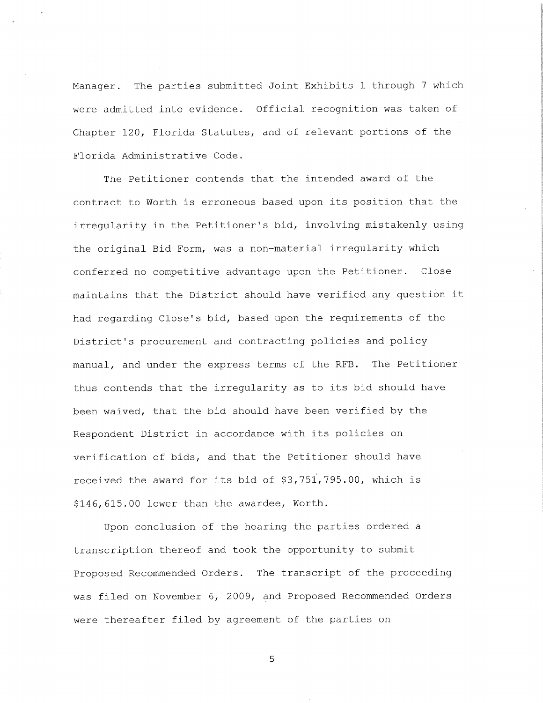Manager. The parties submitted Joint Exhibits 1 through 7 which were admitted into evidence. Official recognition was taken of Chapter 120, Florida Statutes, and of relevant portions of the Florida Administrative Code.

The Petitioner contends that the intended award of the contract to Worth is erroneous based upon its position that the irregularity in the Petitioner's bid, involving mistakenly using the original Bid Form, was a non-material irregularity which conferred no competitive advantage upon the Petitioner. Close maintains that the District should have verified any question it had regarding Close's bid, based upon the requirements of the District's procurement and contracting policies and policy manual, and under the express terms of the RFB. The Petitioner thus contends that the irregularity as to its bid should have been waived, that the bid should have been verified by the Respondent District in accordance with its policies on verification of bids, and that the Petitioner should have received the award for its bid of \$3,751,795.00, which is \$146,615.00 lower than the awardee. Worth.

Upon conclusion of the hearing the parties ordered a transcription thereof and took the opportunity to submit Proposed Recommended Orders. The transcript of the proceeding was filed on November 6, 2009, and Proposed Recommended Orders were thereafter filed by agreement of the parties on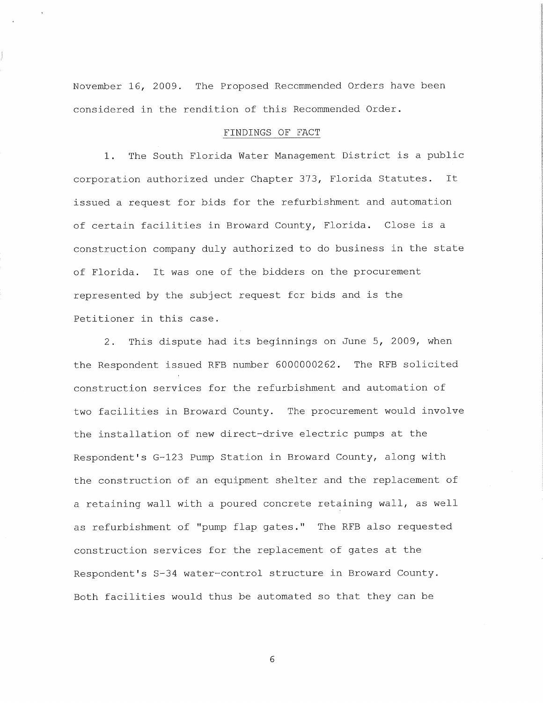November 16, 2009. The Proposed Recommended Orders have been considered in the rendition of this Recommended Order.

# FINDINGS OF FACT

<sup>1</sup> . The South Florida Water Management District is <sup>a</sup> public corporation authorized under Chapter 373, Florida Statutes. It issued a request for bids for the refurbishment and automation of certain facilities in Broward County, Florida. Close is a construction company duly authorized to do business in the state of Florida. It was one of the bidders on the procurement represented by the subject request for bids and is the Petitioner in this case.

2. This dispute had its beginnings on June 5, 2009, when the Respondent issued RFB number 6000000262. The RFB solicited construction services for the refurbishment and automation of two facilities in Broward County. The procurement would involve the installation of new direct-drive electric pumps at the Respondent's G-123 Pump Station in Broward County, along with the construction of an equipment shelter and the replacement of a retaining wall with a poured concrete retaining wall, as well as refurbishment of "pump flap gates." The RFB also requested construction services for the replacement of gates at the Respondent's S-34 water-control structure in Broward County. Both facilities would thus be automated so that they can be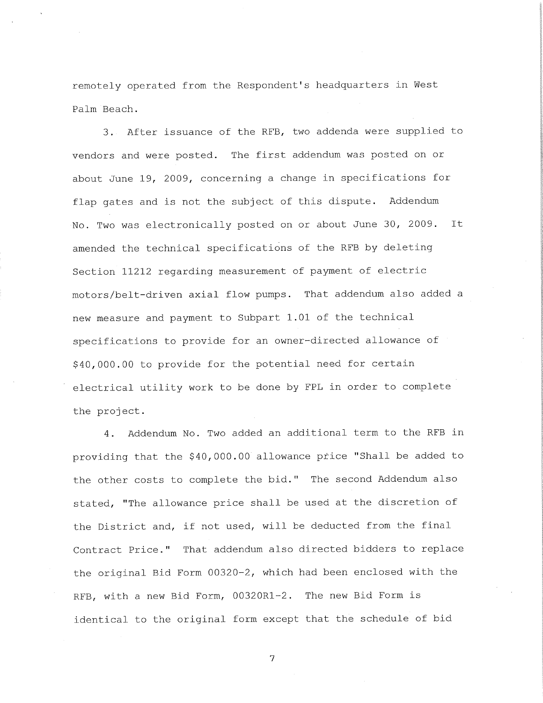remotely operated from the Respondent's headquarters in West Palm Beach.

3. After issuance of the RFB, two addenda were supplied to vendors and were posted. The first addendum was posted on or about June 19, 2009, concerning a change in specifications for flap gates and is not the subject of this dispute. Addendum No. Two was electronically posted on or about June 30, 2009. It amended the technical specifications of the RFB by deleting Section 11212 regarding measurement of payment of electric motors/belt-driven axial flow pumps. That addendum also added <sup>a</sup> new measure and payment to Subpart 1.01 of the technical specifications to provide for an owner-directed allowance of \$40,000.00 to provide for the potential need for certain electrical utility work to be done by FPL in order to complete the project.

4. Addendum No. Two added an additional term to the RFB in providing that the \$40,000.00 allowance pfice "Shall be added to the other costs to complete the bid." The second Addendum also stated, "The allowance price shall be used at the discretion of the District and, if not used, will be deducted from the final Contract Price." That addendum also directed bidders to replace the original Bid Form 00320-2, which had been enclosed with the RFB, with a new Bid Form, 00320R1-2. The new Bid Form is identical to the original form except that the schedule of bid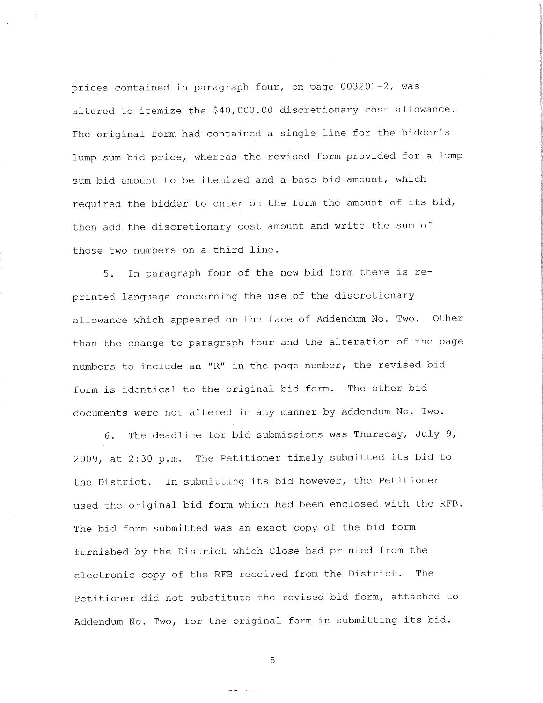prices contained in paragrap<sup>h</sup> four, on page 003201-2, was altered to itemize the \$40,000.00 discretionary cost allowance. The original form had contained a single line for the bidder's lump sum bid price, whereas the revised form provided for <sup>a</sup> lump sum bid amount to be itemized and <sup>a</sup> base bid amount, which required the bidder to enter on the form the amount of its bid, then add the discretionary cost amount and write the sum of those two numbers on a third line.

5. In paragraph four of the new bid form there is reprinted language concerning the use of the discretionary allowance which appeared on the face of Addendum No. Two. Other than the change to paragrap<sup>h</sup> four and the alteration of the page numbers to include an "R" in the page number, the revised bid form is identical to the original bid form. The other bid documents were not altered in any manner by Addendum No. Two.

6. The deadline for bid submissions was Thursday, July 9, 2009, at 2:30 p.m. The Petitioner timely submitted its bid to the District. In submitting its bid however, the Petitioner used the original bid form which had been enclosed with the RFB . The bid form submitted was an exact copy of the bid form furnished by the District which Close had printed from the electronic copy of the RFB received from the District. The Petitioner did not substitute the revised bid form, attached to Addendum No. Two, for the original form in submitting its bid.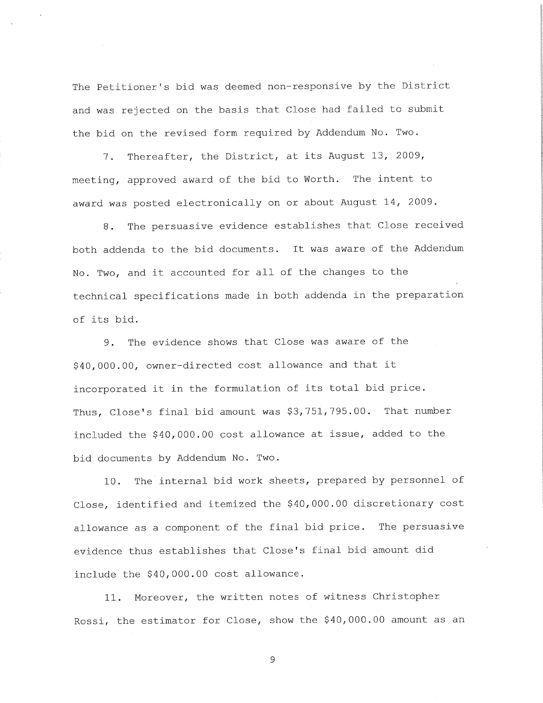The Petitioner's bid was deemed non-responsive by the District and was rejected on the basis that Close had failed to submit the bid on the revised form required by Addendum No. Two.

7. Thereafter, the District, at its August 13, 2009, meeting, approved award of the bid to Worth. The intent to award was posted electronically on or about August 14, 2009.

<sup>8</sup> . The persuasive evidence establishes that Close received both addenda to the bid documents. It was aware of the Addendum No. Two, and it accounted for all of the changes to the technical specifications made in both addenda in the preparation of its bid.

9. The evidence shows that Close was aware of the \$40,000.00, owner-directed cost allowance and that it incorporated it in the formulation of its total bid price. Thus, Close's final bid amount was \$3,751,795.00. That number included the \$40,000.00 cost allowance at issue, added to the bid documents by Addendum No. Two.

10. The internal bid work sheets, prepared by personne<sup>l</sup> of Close, identified and itemized the \$40,000.00 discretionary cost allowance as a component of the final bid price. The persuasive evidence thus establishes that Close's final bid amount did include the \$40,000.00 cost allowance.

11. Moreover, the written notes of witness Christopher Rossi, the estimator for Close, show the \$40,000.00 amount as an

 $\mathsf{S}\xspace$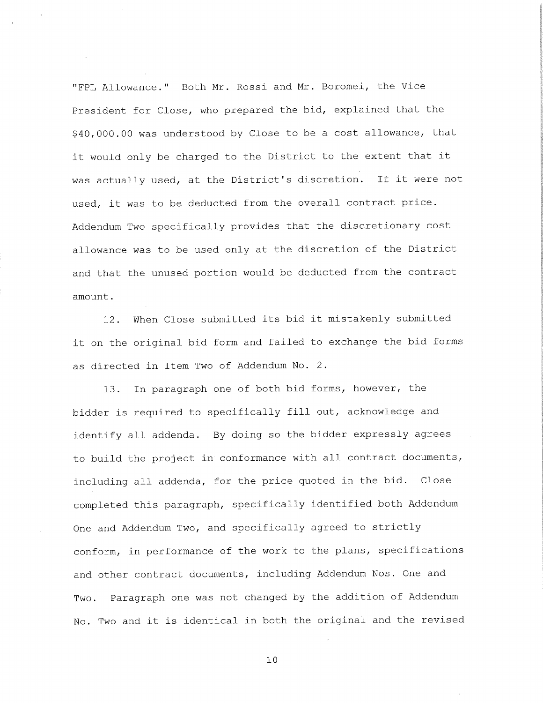"FPL Allowance." Both Mr. Rossi and Mr. Boromei, the Vice President for Close, who prepared the bid, explained that the \$40,000.00 was understood by Close to be <sup>a</sup> cost allowance, that it would only be charged to the District to the extent that it was actually used, at the District's discretion. If it were not used, it was to be deducted from the overall contract price. Addendum Two specifically provides that the discretionary cost allowance was to be used only at the discretion of the District and that the unused portion would be deducted from the contract amount .

12. When Close submitted its bid it mistakenly submitted it on the original bid form and failed to exchange the bid forms as directed in Item Two of Addendum No. 2.

13. In paragrap<sup>h</sup> one of both bid forms, however, the bidder is required to specifically fill out, acknowledge and identify all addenda. By doing so the bidder expressly agrees to build the project in conformance with all contract documents, including all addenda, for the price quoted in the bid. Close completed this paragraph, specifically identified both Addendum One and Addendum Two, and specifically agreed to strictly conform, in performance of the work to the plans, specifications and other contract documents, including Addendum Nos. One and Two. Paragraph one was not changed by the addition of Addendum No. Two and it is identical in both the original and the revised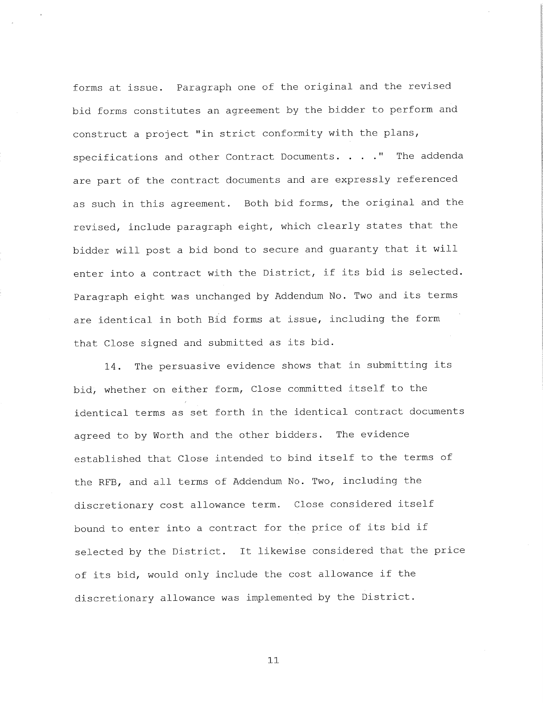forms at issue. Paragraph one of the original and the revised bid forms constitutes an agreemen<sup>t</sup> by the bidder to perform and construct a project "in strict conformity with the plans, specifications and other Contract Documents. . . . " The addenda are part of the contract documents and are expressly referenced as such in this agreement. Both bid forms, the original and the revised, include paragrap<sup>h</sup> eight, which clearly states that the bidder will post a bid bond to secure and guaranty that it will enter into a contract with the District, if its bid is selected. Paragraph eight was unchanged by Addendum No. Two and its terms are identical in both Bid forms at issue, including the form that Close signed and submitted as its bid.

14. The persuasive evidence shows that in submitting its bid, whether on either form. Close committed itself to the identical terms as set forth in the identical contract documents agreed to by Worth and the other bidders. The evidence established that Close intended to bind itself to the terms of the RFB, and all terms of Addendum No. Two, including the discretionary cost allowance term. Close considered itself bound to enter into a contract for the price of its bid if selected by the District. It likewise considered that the price of its bid, would only include the cost allowance if the discretionary allowance was implemented by the District.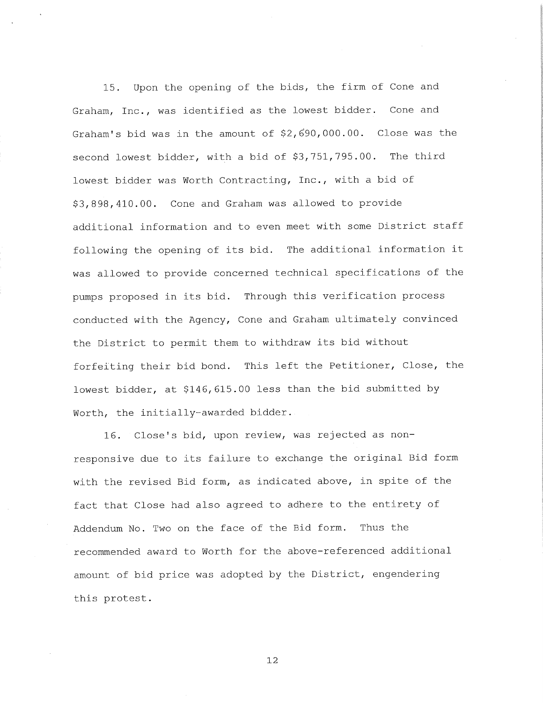15. Upon the opening of the bids, the firm of Cone and Graham, Inc., was identified as the lowest bidder. Cone and Graham's bid was in the amount of \$2,690,000.00. Close was the second lowest bidder, with a bid of \$3,751,795.00. The third lowest bidder was Worth Contracting, Inc., with <sup>a</sup> bid of \$3,898,410.00. Cone and Graham was allowed to provide additional information and to even meet with some District staff following the opening of its bid. The additional information it was allowed to provide concerned technical specifications of the pumps proposed in its bid. Through this verification process conducted with the Agency, Cone and Graham ultimately convinced the District to permit them to withdraw its bid without forfeiting their bid bond. This left the Petitioner, Close, the lowest bidder, at \$146,615.00 less than the bid submitted by Worth, the initially-awarded bidder.

16. Close's bid, upon review, was rejected as nonresponsive due to its failure to exchange the original Bid form with the revised Bid form, as indicated above, in spite of the fact that Close had also agreed to adhere to the entirety of Addendum No. Two on the face of the Bid form. Thus the recommended award to Worth for the above-referenced additional amount of bid price was adopted by the District, engendering this protest.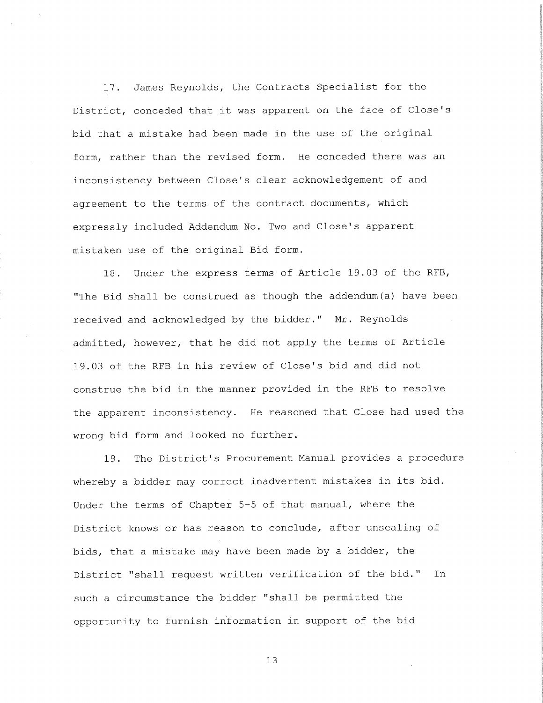17. James Reynolds, the Contracts Specialist for the District, conceded that it was apparent on the face of Close's bid that a mistake had been made in the use of the original form, rather than the revised form. He conceded there was an inconsistency between Close's clear acknowledgement of and agreement to the terms of the contract documents, which expressly included Addendum No. Two and Close's apparent mistaken use of the original Bid form.

18. Under the express terms of Article 19.03 of the RFB, "The Bid shall be construed as though the addendum (a) have been received and acknowledged by the bidder." Mr. Reynolds admitted, however, that he did not apply the terms of Article 19.03 of the RFB in his review of Close's bid and did not construe the bid in the manner provided in the RFB to resolve the apparent inconsistency. He reasoned that Close had used the wrong bid form and looked no further.

19. The District's Procurement Manual provides a procedure whereby a bidder may correct inadvertent mistakes in its bid. Under the terms of Chapter 5-5 of that manual, where the District knows or has reason to conclude, after unsealing of bids, that a mistake may have been made by <sup>a</sup> bidder, the District "shall request written verification of the bid." In such a circumstance the bidder "shall be permitted the opportunity to furnish information in support of the bid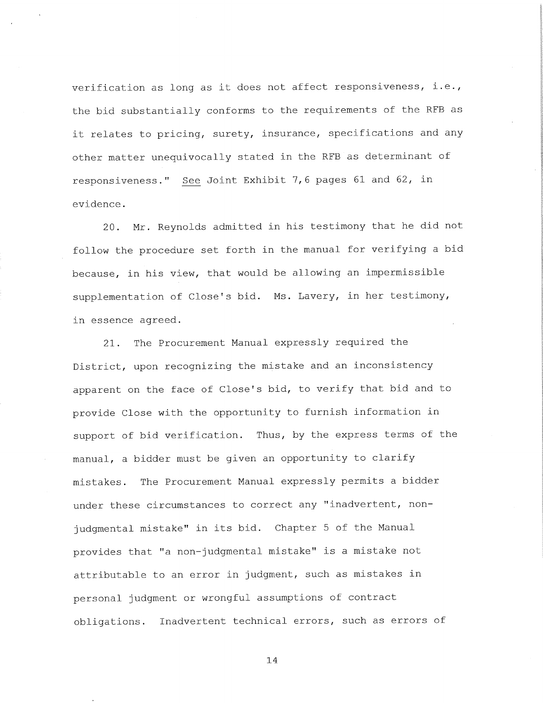verification as long as it does not affect responsiveness, i.e., the bid substantially conforms to the requirements of the RFB as it relates to pricing, surety, insurance, specifications and any other matter unequivocally stated in the RFB as determinant of responsiveness." See Joint Exhibit 7,6 pages <sup>61</sup> and 62, in evidence .

20. Mr. Reynolds admitted in his testimony that he did not follow the procedure set forth in the manual for verifying a bid because, in his view, that would be allowing an impermissible supplementation of Close's bid. Ms. Lavery, in her testimony, in essence agreed.

21. The Procurement Manual expressly required the District, upon recognizing the mistake and an inconsistency apparent on the face of Close's bid, to verify that bid and to provide Close with the opportunity to furnish information in support of bid verification. Thus, by the express terms of the manual, a bidder must be given an opportunity to clarify mistakes. The Procurement Manual expressly permits a bidder under these circumstances to correct any "inadvertent, nonjudgmental mistake" in its bid. Chapter 5 of the Manual provides that "a non-judgmental mistake" is <sup>a</sup> mistake not attributable to an error in judgment, such as mistakes in persona<sup>l</sup> judgment or wrongful assumptions of contract obligations. Inadvertent technical errors, such as errors of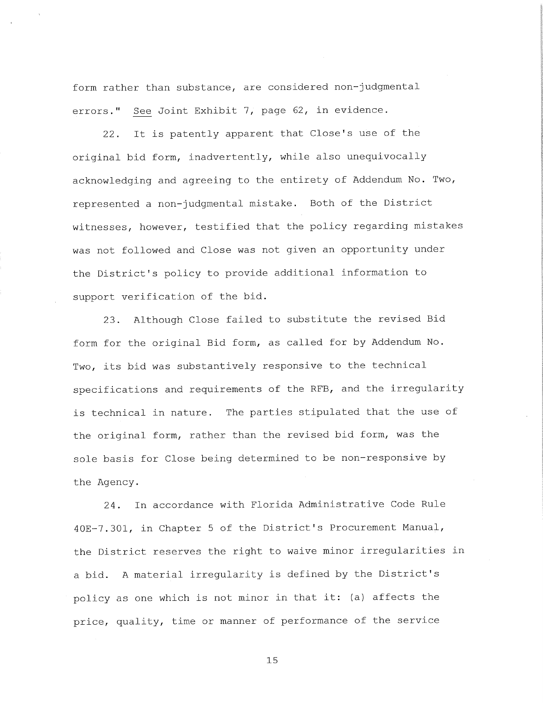form rather than substance, are considered non-judgmental errors." See Joint Exhibit 7, page 62, in evidence.

22. It is patently apparent that Close's use of the original bid form, inadvertently, while also unequivocally acknowledging and agreeing to the entirety of Addendum No. Two, represented a non-judgmental mistake. Both of the District witnesses, however, testified that the policy regarding mistakes was not followed and Close was not given an opportunity under the District's policy to provide additional information to support verification of the bid.

23. Although Close failed to substitute the revised Bid form for the original Bid form, as called for by Addendum No. Two, its bid was substantively responsive to the technical specifications and requirements of the RFB, and the irregularity is technical in nature. The parties stipulated that the use of the original form, rather than the revised bid form, was the sole basis for Close being determined to be non-responsive by the Agency.

24. In accordance with Florida Administrative Code Rule 40E-7.301, in Chapter 5 of the District's Procurement Manual, the District reserves the right to waive minor irregularities in a bid. <sup>A</sup> material irregularity is defined by the District's policy as one which is not minor in that it: (a) affects the price, quality, time or manner of performance of the service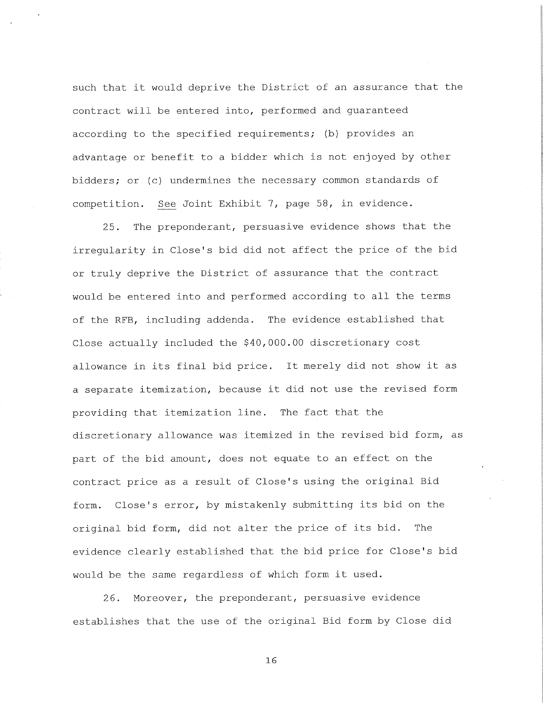such that it would deprive the District of an assurance that the contract will be entered into, performed and guaranteed according to the specified requirements; (b) provides an advantage or benefit to a bidder which is not enjoyed by other bidders; or (c) undermines the necessary common standards of competition. See Joint Exhibit 7, page 58, in evidence.

25. The preponderant, persuasive evidence shows that the irregularity in Close's bid did not affect the price of the bid or truly deprive the District of assurance that the contract would be entered into and performed according to all the terms of the RFB, including addenda. The evidence established that Close actually included the \$40,000.00 discretionary cost allowance in its final bid price. It merely did not show it as a separate itemization, because it did not use the revised form providing that itemization line. The fact that the discretionary allowance was itemized in the revised bid form, as part of the bid amount, does not equate to an effect on the contract price as a result of Close's using the original Bid form. Close's error, by mistakenly submitting its bid on the original bid form, did not alter the price of its bid. The evidence clearly established that the bid price for Close's bid would be the same regardless of which form it used.

26. Moreover, the preponderant, persuasive evidence establishes that the use of the original Bid form by Close did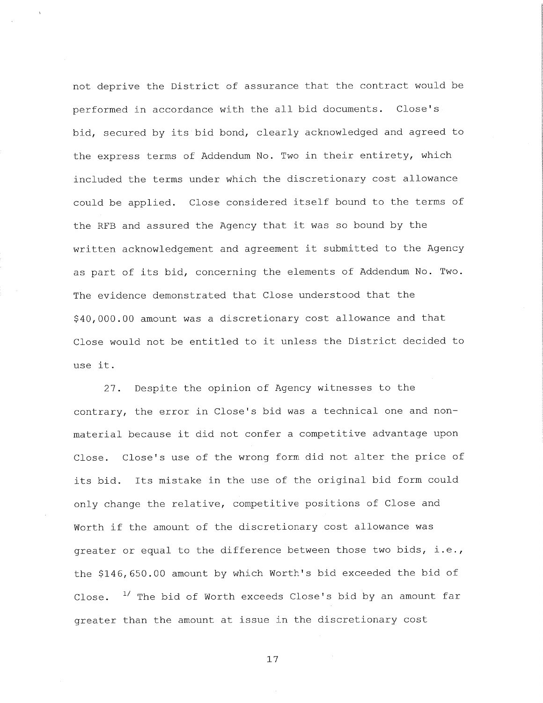not deprive the District of assurance that the contract would be performed in accordance with the all bid documents. Close's bid, secured by its bid bond, clearly acknowledged and agreed to the express terms of Addendum No. Two in their entirety, which included the terms under which the discretionary cost allowance could be applied. Close considered itself bound to the terms of the RFB and assured the Agency that it was so bound by the written acknowledgement and agreement it submitted to the Agency as part of its bid, concerning the elements of Addendum No. Two. The evidence demonstrated that Close understood that the \$40,000.00 amount was a discretionary cost allowance and that Close would not be entitled to it unless the District decided to use it.

27. Despite the opinion of Agency witnesses to the contrary, the error in Close's bid was a technical one and nonmaterial because it did not confer a competitive advantage upon Close. Close's use of the wrong form did not alter the price of its bid. Its mistake in the use of the original bid form could only change the relative, competitive positions of Close and Worth if the amount of the discretionary cost allowance was greater or equal to the difference between those two bids, i.e., the \$146,650.00 amount by which Worth's bid exceeded the bid of Close.  $1/$  The bid of Worth exceeds Close's bid by an amount far greater than the amount at issue in the discretionary cost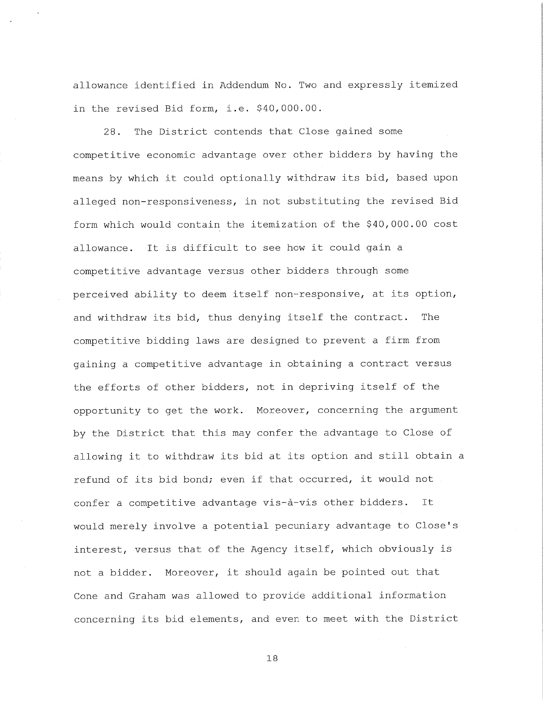allowance identified in Addendum No. Two and expressly itemized in the revised Bid form, i.e. \$40,000.00.

28. The District contends that Close gained some competitive economic advantage over other bidders by having the means by which it could optionally withdraw its bid, based upon alleged non-responsiveness, in not substituting the revised Bid form which would contain the itemization of the \$40,000.00 cost allowance. It is difficult to see how it could gain a competitive advantage versus other bidders through some perceived ability to deem itself non-responsive, at its option, and withdraw its bid, thus denying itself the contract. The competitive bidding laws are designed to prevent a firm from gaining a competitive advantage in obtaining <sup>a</sup> contract versus the efforts of other bidders, not in depriving itself of the opportunity to get the work. Moreover, concerning the argument by the District that this may confer the advantage to Close of allowing it to withdraw its bid at its option and still obtain a refund of its bid bond; even if that occurred, it would not confer a competitive advantage vis-à-vis other bidders. It would merely involve a potential pecuniary advantage to Close's interest, versus that of the Agency itself, which obviously is not a bidder. Moreover, it should again be pointed out that Cone and Graham was allowed to provide additional information concerning its bid elements, and even to meet with the District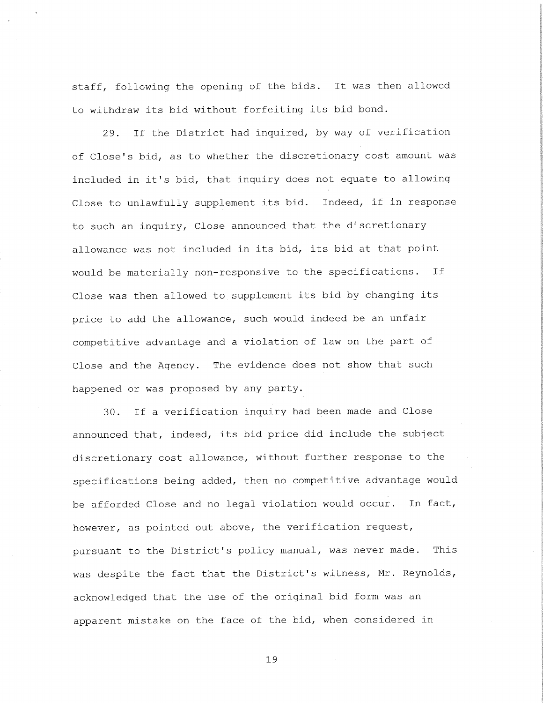staff, following the opening of the bids. It was then allowed to withdraw its bid without forfeiting its bid bond.

29. If the District had inquired, by way of verification of Close's bid, as to whether the discretionary cost amount was included in it's bid, that inquiry does not equate to allowing Close to unlawfully supplement its bid. Indeed, if in response to such an inquiry. Close announced that the discretionary allowance was not included in its bid, its bid at that point would be materially non-responsive to the specifications. If Close was then allowed to supplement its bid by changing its price to add the allowance, such would indeed be an unfair competitive advantage and a violation of law on the part of Close and the Agency. The evidence does not show that such happened or was proposed by any party.

30. If a verification inquiry had been made and Close announced that, indeed, its bid price did include the subject discretionary cost allowance, without further response to the specifications being added, then no competitive advantage would be afforded Close and no legal violation would occur. In fact, however, as pointed out above, the verification request, pursuant to the District's policy manual, was never made. This was despite the fact that the District's witness, Mr. Reynolds, acknowledged that the use of the original bid form was an apparent mistake on the face of the bid, when considered in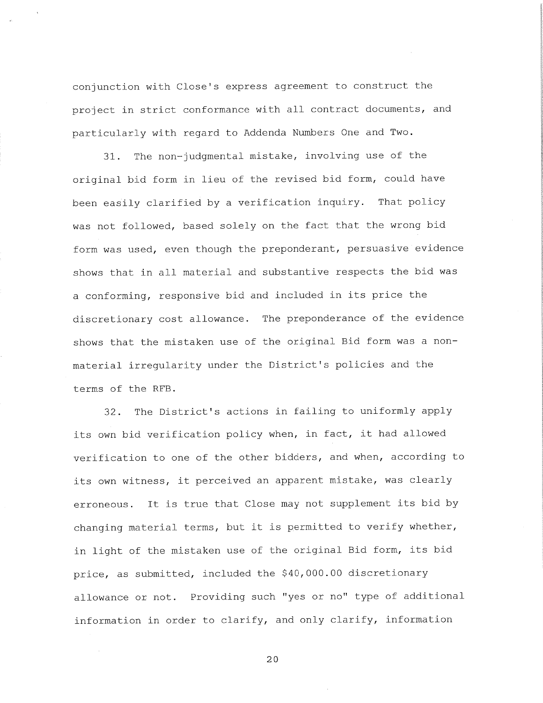conjunction with Close's express agreemen<sup>t</sup> to construct the project in strict conformance with all contract documents, and particularly with regard to Addenda Numbers One and Two.

31. The non-judgmental mistake, involving use of the original bid form in lieu of the revised bid form, could have been easily clarified by a verification inquiry. That policy was not followed, based solely on the fact that the wrong bid form was used, even though the preponderant, persuasive evidence shows that in all material and substantive respects the bid was a conforming, responsive bid and included in its price the discretionary cost allowance. The preponderance of the evidence shows that the mistaken use of the original Bid form was <sup>a</sup> nonmaterial irregularity under the District's policies and the terms of the RFB .

32. The District's actions in failing to uniformly apply its own bid verification policy when, in fact, it had allowed verification to one of the other bidders, and when, according to its own witness, it perceived an apparent mistake, was clearly erroneous. It is true that Close may not supplement its bid by changing material terms, but it is permitted to verify whether, in light of the mistaken use of the original Bid form, its bid price, as submitted, included the \$40,000.00 discretionary allowance or not. Providing such "yes or no" type of additional information in order to clarify, and only clarify, information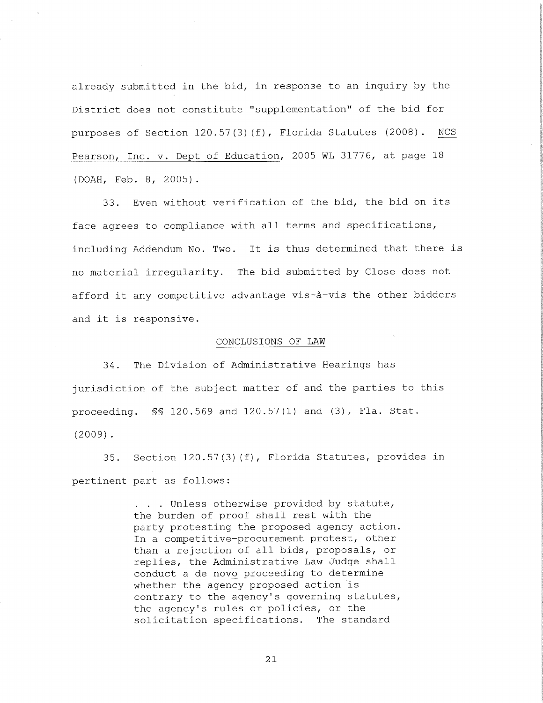already submitted in the bid, in response to an inquiry by the District does not constitute "supplementation" of the bid for purposes of Section  $120.57(3)(f)$ , Florida Statutes (2008). NCS Pearson, Inc. v. Dept of Education, <sup>2005</sup> WL 31776, at page <sup>18</sup> (DOAH, Feb. 8, 2005) .

33. Even without verification of the bid, the bid on its face agrees to compliance with all terms and specifications, including Addendum No. Two. It is thus determined that there is no material irregularity. The bid submitted by Close does not afford it any competitive advantage vis-a-vis the other bidders and it is responsive.

## CONCLUSIONS OF LAW

34. The Division of Administrative Hearings has jurisdiction of the subject matter of and the parties to this proceeding. §§ 120.569 and 120.57(1) and (3), Fla. Stat. (2009) .

35. Section 120.57(3) (f), Florida Statutes, provides in pertinent part as follows:

> . . . Unless otherwise provided by statute, the burden of proof shall rest with the party protesting the proposed agency action. In a competitive-procurement protest, other than a rejection of all bids, proposals, or replies, the Administrative Law Judge shall replies, the Administrative Law Judge shall<br>conduct a de novo proceeding to determine whether the agency proposed action is contrary to the agency's governing statutes, the agency's rules or policies, or the solicitation specifications. The standard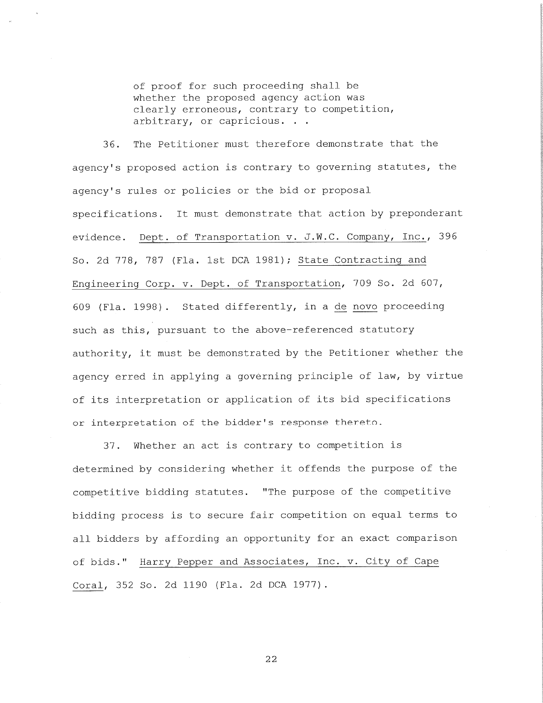of proof for such proceeding shall be whether the proposed agency action was clearly erroneous, contrary to competition, arbitrary, or capricious. . .

36. The Petitioner must therefore demonstrate that the agency's proposed action is contrary to governing statutes, the agency's rules or policies or the bid or proposal specifications. It must demonstrate that action by preponderant evidence. Dept. of Transportation v. J.W.C. Company, Inc., <sup>396</sup> So. 2d 778, 787 (Fla. 1st DCA 1981); State Contracting and Engineering Corp. v. Dept. of Transportation, <sup>709</sup> So. 2d 607, <sup>609</sup> (Fla. 1998) . Stated differently, in <sup>a</sup> de novo proceeding such as this, pursuant to the above-referenced statutory authority, it must be demonstrated by the Petitioner whether the agency erred in applying a governing principle of law, by virtue of its interpretation or application of its bid specifications or interpretation of the bidder's response thereto.

<sup>37</sup> . Whether an act is contrary to competition is determined by considering whether it offends the purpose of the competitive bidding statutes. "The purpose of the competitive bidding process is to secure fair competition on equal terms to all bidders by affording an opportunity for an exact comparison of bids." Harry Pepper and Associates, Inc. v. City of Cape Coral, <sup>352</sup> So. 2d <sup>1190</sup> (Fla. 2d DCA 1977) .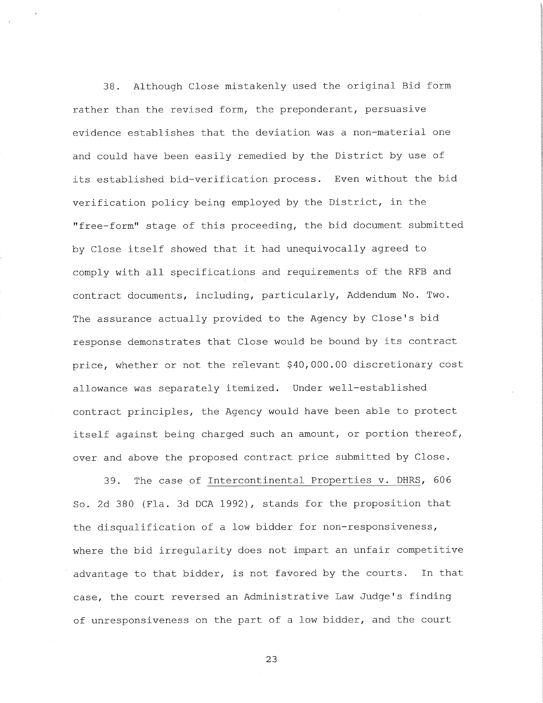38. Although Close mistakenly used the original Bid form rather than the revised form, the preponderant, persuasive evidence establishes that the deviation was a non-material one and could have been easily remedied by the District by use of its established bid-verification process. Even without the bid verification policy being employed by the District, in the "free-form" stage of this proceeding, the bid document submitted by Close itself showed that it had unequivocally agreed to comply with all specifications and requirements of the RFB and contract documents, including, particularly. Addendum No. Two. The assurance actually provided to the Agency by Close's bid response demonstrates that Close would be bound by its contract price, whether or not the relevant \$40,000.00 discretionary cost allowance was separately itemized. Under well-established contract principles, the Agency would have been able to protect itself against being charged such an amount, or portion thereof, over and above the proposed contract price submitted by Close.

39. The case of Intercontinental Properties v. DHRS, <sup>606</sup> So. 2d 380 (Fla. 3d DCA 1992), stands for the proposition that the disqualification of a low bidder for non-responsiveness, where the bid irregularity does not impart an unfair competitive advantage to that bidder, is not favored by the courts. In that case, the court reversed an Administrative Law Judge's finding of unresponsiveness on the part of a low bidder, and the court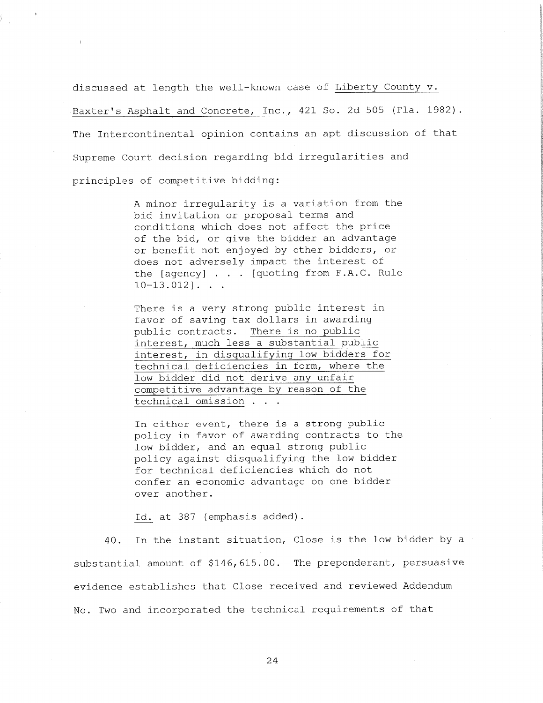discussed at length the well-known case of Liberty County v. Baxter's Asphalt and Concrete, Inc., 421 So. 2d <sup>505</sup> (Fla. 1982). The Intercontinental opinion contains an apt discussion of that Supreme Court decision regarding bid irregularities and principles of competitive bidding:

> <sup>A</sup> minor irregularity is a variation from the bid invitation or proposal terms and conditions which does not affect the price of the bid, or give the bidder an advantage or benefit not enjoyed by other bidders, or does not adversely impact the interest of the [agency] . . . [quoting from F.A.C. Rule  $10-13.012$ ]...

There is a very strong public interest in favor of saving tax dollars in awarding public contracts. There is no public interest, much less a substantial public interest, in disqualifying low bidders for interest, in disqualifying low bidders fo<br>technical deficiencies in form, where the<br>low bidder did not derive any unfair low bidder did not derive any unfair<br>competitive advantage by reason of the technical omission . . .

In either event, there is a strong public In either event, there is a strong public<br>policy in favor of awarding contracts to the policy in favor of awarding contracts<br>low bidder, and an equal strong public low bidder, and an equal strong public<br>policy against disqualifying the low bidder for technical deficiencies which do not confer an economic advantage on one bidder over another.

Id. at <sup>387</sup> (emphasis added) .

40. In the instant situation, Close is the low bidder by a substantial amount of \$146,615.00. The preponderant, persuasive evidence establishes that Close received and reviewed Addendum No. Two and incorporated the technical requirements of that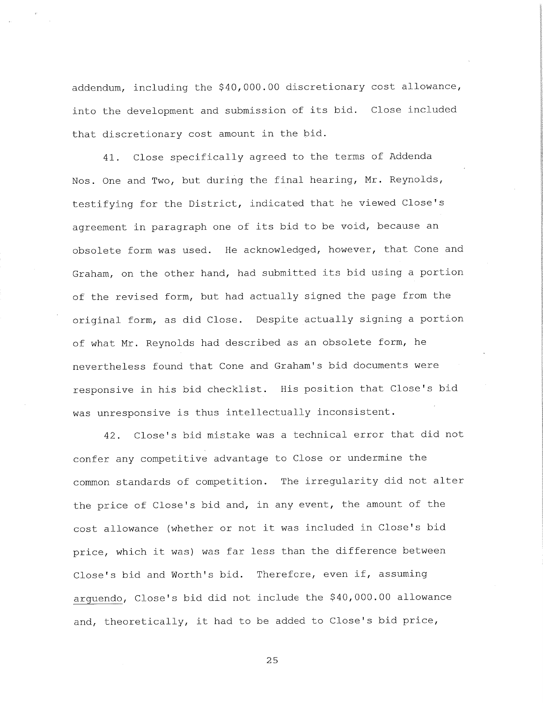addendum, including the \$40,000.00 discretionary cost allowance, into the development and submission of its bid. Close included that discretionary cost amount in the bid.

41. Close specifically agreed to the terms of Addenda Nos. One and Two, but during the final hearing, Mr. Reynolds, testifying for the District, indicated that he viewed Close's agreemen<sup>t</sup> in paragrap<sup>h</sup> one of its bid to be void, because an obsolete form was used. He acknowledged, however, that Cone and Graham, on the other hand, had submitted its bid using <sup>a</sup> portion of the revised form, but had actually signed the page from the original form, as did Close. Despite actually signing <sup>a</sup> portion of what Mr. Reynolds had described as an obsolete form, he nevertheless found that Cone and Graham's bid documents were responsive in his bid checklist. His position that Close's bid was unresponsive is thus intellectually inconsistent.

42. Close's bid mistake was a technical error that did not confer any competitive advantage to Close or undermine the common standards of competition. The irregularity did not alter the price of Close's bid and, in any event, the amount of the cost allowance (whether or not it was included in Close's bid price, which it was) was far less than the difference between Close's bid and Worth's bid. Therefore, even if, assuming arguendo. Close's bid did not include the \$40,000.00 allowance and, theoretically, it had to be added to Close's bid price,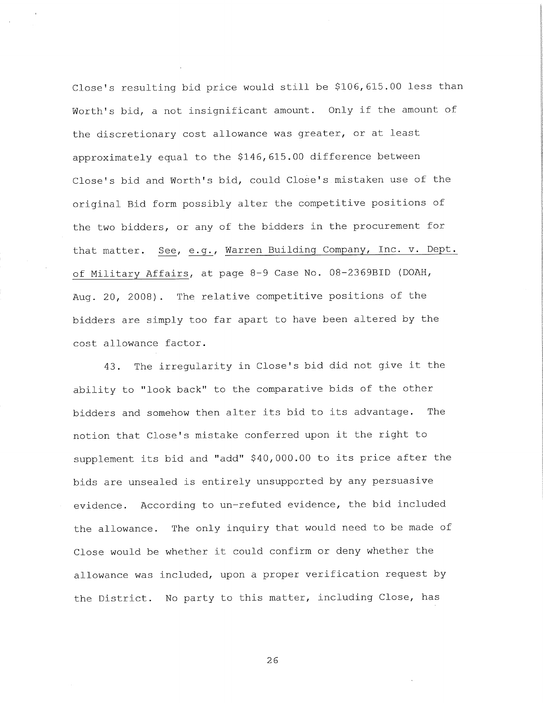Close's resulting bid price would still be \$106,615.00 less than Worth's bid, a not insignificant amount. Only if the amount of the discretionary cost allowance was greater, or at least approximately equal to the \$146,615.00 difference between Close's bid and Worth's bid, could Close's mistaken use of the original Bid form possibly alter the competitive positions of the two bidders, or any of the bidders in the procuremen<sup>t</sup> for that matter. See, e.g., Warren Building Company, Inc. v. Dept. of Military Affairs, at page 8-9 Case No. 08-2369BID (DOAH, Aug. 20, 2008) . The relative competitive positions of the bidders are simply too far apart to have been altered by the cost allowance factor.

43. The irregularity in Close's bid did not give it the ability to "look back" to the comparative bids of the other bidders and somehow then alter its bid to its advantage. The notion that Close's mistake conferred upon it the right to supplement its bid and "add" \$40,000.00 to its price after the bids are unsealed is entirely unsupported by any persuasive evidence. According to un-refuted evidence, the bid included the allowance. The only inquiry that would need to be made of Close would be whether it could confirm or deny whether the allowance was included, upon <sup>a</sup> proper verification request by the District. No party to this matter, including Close, has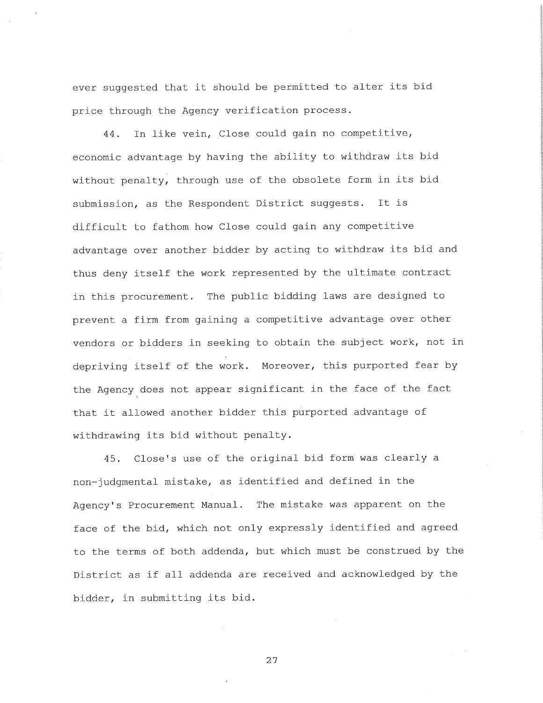ever suggested that it should be permitted to alter its bid price through the Agency verification process.

44. In like vein, Close could gain no competitive, economic advantage by having the ability to withdraw its bid without penalty, through use of the obsolete form in its bid submission, as the Respondent District suggests. It is difficult to fathom how Close could gain any competitive advantage over another bidder by acting to withdraw its bid and thus deny itself the work represented by the ultimate contract in this procurement. The public bidding laws are designed to prevent a firm from gaining a competitive advantage over other vendors or bidders in seeking to obtain the subject work, not in depriving itself of the work. Moreover, this purported fear by the Agency does not appear significant in the face of the fact that it allowed another bidder this purported advantage of withdrawing its bid without penalty.

45. Close's use of the original bid form was clearly <sup>a</sup> non- judgmental mistake, as identified and defined in the Agency's Procurement Manual. The mistake was apparent on the face of the bid, which not only expressly identified and agreed to the terms of both addenda, but which must be construed by the District as if all addenda are received and acknowledged by the bidder, in submitting its bid.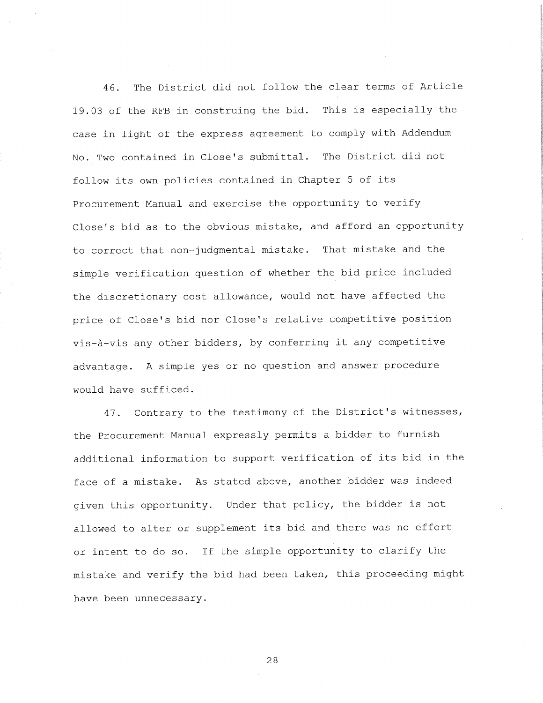46. The District did not follow the clear terms of Article 19.03 of the RFB in construing the bid. This is especially the case in light of the express agreemen<sup>t</sup> to comply with Addendum No. Two contained in Close's submittal. The District did not follow its own policies contained in Chapter <sup>5</sup> of its Procurement Manual and exercise the opportunity to verify Close's bid as to the obvious mistake, and afford an opportunity to correct that non-judgmental mistake. That mistake and the simple verification question of whether the bid price included the discretionary cost allowance, would not have affected the price of Close's bid nor Close's relative competitive position vis-a-vis any other bidders, by conferring it any competitive advantage. <sup>A</sup> simple yes or no question and answer procedure would have sufficed.

47. Contrary to the testimony of the District's witnesses, the Procurement Manual expressly permits a bidder to furnish additional information to support verification of its bid in the face of a mistake. As stated above, another bidder was indeed given this opportunity. Under that policy, the bidder is not allowed to alter or supplement its bid and there was no effort or intent to do so. If the simple opportunity to clarify the mistake and verify the bid had been taken, this proceeding might have been unnecessary.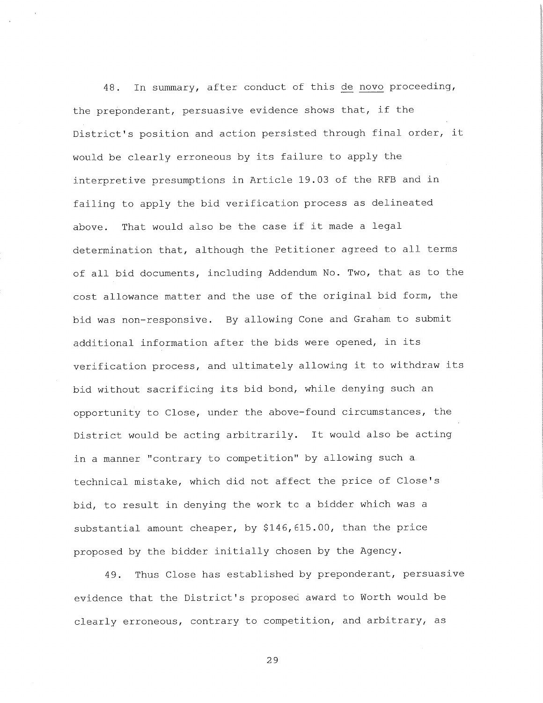48. In summary, after conduct of this de novo proceeding, the preponderant, persuasive evidence shows that, if the District's position and action persisted through final order, it would be clearly erroneous by its failure to apply the interpretive presumptions in Article 19.03 of the RFB and in failing to apply the bid verification process as delineated above. That would also be the case if it made a legal determination that, although the Petitioner agreed to all terms of all bid documents, including Addendum No. Two, that as to the cost allowance matter and the use of the original bid form, the bid was non-responsive. By allowing Cone and Graham to submit additional information after the bids were opened, in its verification process, and ultimately allowing it to withdraw its bid without sacrificing its bid bond, while denying such an opportunity to Close, under the above-found circumstances, the District would be acting arbitrarily. It would also be acting in a manner "contrary to competition" by allowing such <sup>a</sup> technical mistake, which did not affect the price of Close's bid, to result in denying the work to a bidder which was a substantial amount cheaper, by \$146,615.00, than the price proposed by the bidder initially chosen by the Agency.

49. Thus Close has established by preponderant, persuasive evidence that the District's proposed award to Worth would be clearly erroneous, contrary to competition, and arbitrary, as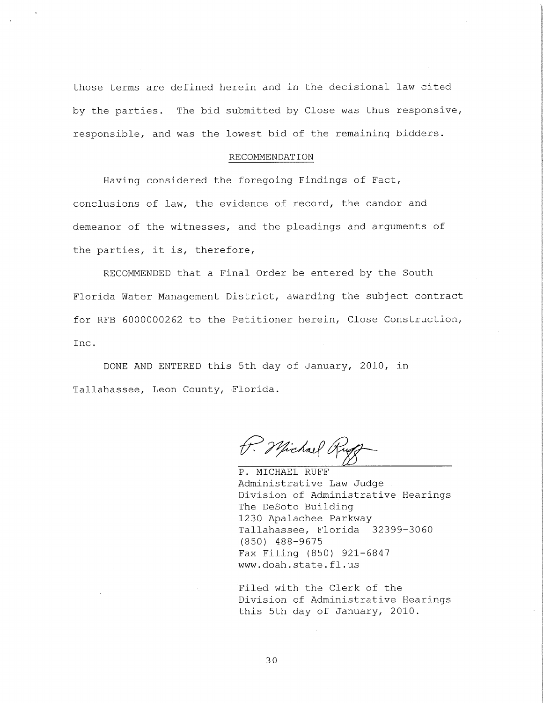those terms are defined herein and in the decisional law cited by the parties. The bid submitted by Close was thus responsive, responsible, and was the lowest bid of the remaining bidders.

# RECOMMENDATION

Having considered the foregoing Findings of Fact, conclusions of law, the evidence of record, the candor and demeanor of the witnesses, and the pleadings and arguments of the parties, it is, therefore,

RECOMMENDED that a Final Order be entered by the South Florida Water Management District, awarding the subject contract for RFB 6000000262 to the Petitioner herein. Close Construction, Inc .

DONE AND ENTERED this 5th day of January, 2010, in Tallahassee, Leon County, Florida.

P. Michael Rug

P. MICHAEL RUFF Administrative Law Judge Division of Administrative Hearings The DeSoto Building 1230 Apalachee Parkway Tallahassee, Florida 32399-3060 (850) 488-9675 Fax Filing (850) 921-6847 www . doah . state . f1 . us

Filed with the Clerk of the Division of Administrative Hearings this 5th day of January, 2010.